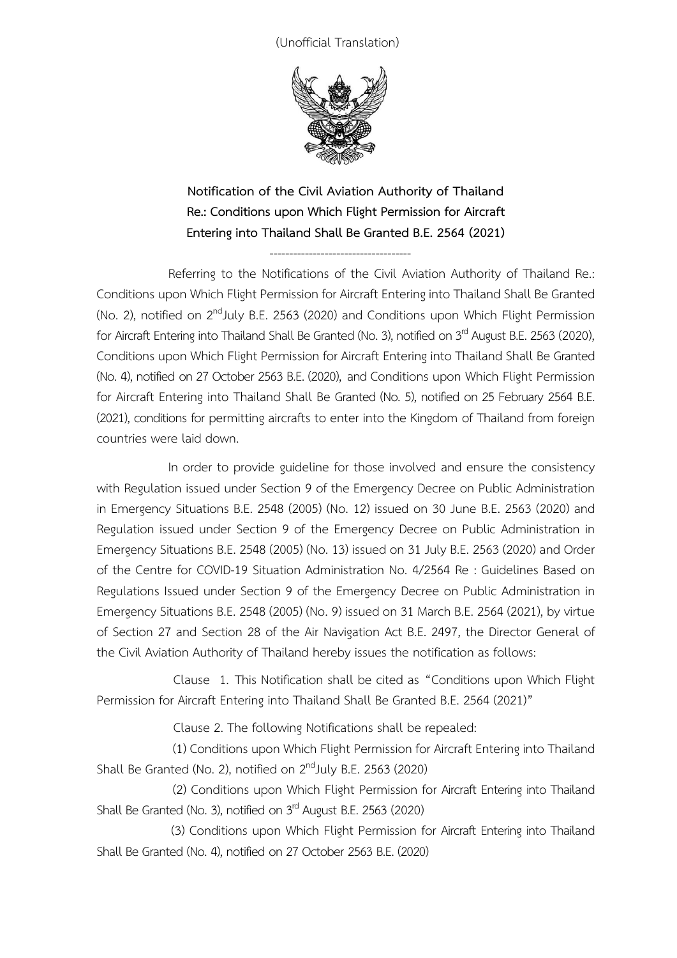(Unofficial Translation)



**Notification of the Civil Aviation Authority of Thailand Re.: Conditions upon Which Flight Permission for Aircraft Entering into Thailand Shall Be Granted B.E. 2564 (2021)**

------------------------------------

Referring to the Notifications of the Civil Aviation Authority of Thailand Re.: Conditions upon Which Flight Permission for Aircraft Entering into Thailand Shall Be Granted (No. 2), notified on 2<sup>nd</sup>July B.E. 2563 (2020) and Conditions upon Which Flight Permission for Aircraft Entering into Thailand Shall Be Granted (No. 3), notified on 3<sup>rd</sup> August B.E. 2563 (2020), Conditions upon Which Flight Permission for Aircraft Entering into Thailand Shall Be Granted (No. 4), notified on27 October 2563 B.E. (2020), and Conditions upon Which Flight Permission for Aircraft Entering into Thailand Shall Be Granted (No. 5), notified on 25 February 2564 B.E. (2021), conditions for permitting aircrafts to enter into the Kingdom of Thailand from foreign countries were laid down.

In order to provide guideline for those involved and ensure the consistency with Regulation issued under Section 9 of the Emergency Decree on Public Administration in Emergency Situations B.E. 2548 (2005) (No. 12) issued on 30 June B.E. 2563 (2020) and Regulation issued under Section 9 of the Emergency Decree on Public Administration in Emergency Situations B.E. 2548 (2005) (No. 13) issued on 31 July B.E. 2563 (2020) and Order of the Centre for COVID-19 Situation Administration No. 4/2564 Re : Guidelines Based on Regulations Issued under Section 9 of the Emergency Decree on Public Administration in Emergency Situations B.E. 2548 (2005) (No. 9) issued on 31 March B.E. 2564 (2021), by virtue of Section 27 and Section 28 of the Air Navigation Act B.E. 2497, the Director General of the Civil Aviation Authority of Thailand hereby issues the notification as follows:

 Clause 1. This Notification shall be cited as "Conditions upon Which Flight Permission for Aircraft Entering into Thailand Shall Be Granted B.E. 2564 (2021)"

Clause 2. The following Notifications shall be repealed:

(1) Conditions upon Which Flight Permission for Aircraft Entering into Thailand Shall Be Granted (No. 2), notified on  $2<sup>nd</sup>$ July B.E. 2563 (2020)

 (2) Conditions upon Which Flight Permission for Aircraft Entering into Thailand Shall Be Granted (No. 3), notified on 3<sup>rd</sup> August B.E. 2563 (2020)

 (3) Conditions upon Which Flight Permission for Aircraft Entering into Thailand Shall Be Granted (No. 4), notified on 27 October 2563 B.E. (2020)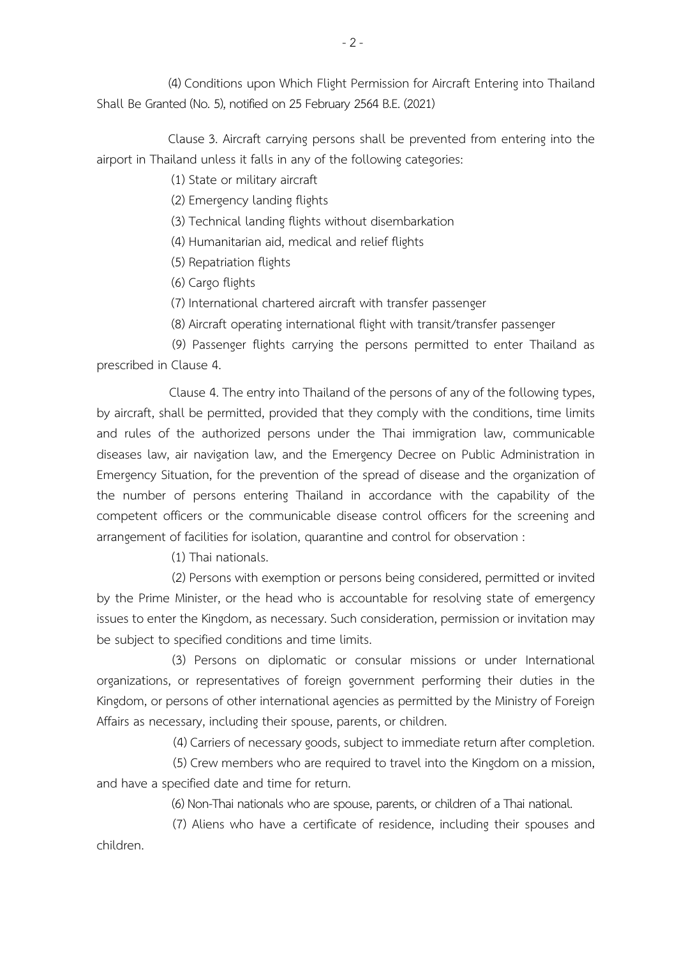(4) Conditions upon Which Flight Permission for Aircraft Entering into Thailand Shall Be Granted (No. 5), notified on25 February 2564 B.E. (2021)

 Clause 3. Aircraft carrying persons shall be prevented from entering into the airport in Thailand unless it falls in any of the following categories:

(1) State or military aircraft

(2) Emergency landing flights

(3) Technical landing flights without disembarkation

(4) Humanitarian aid, medical and relief flights

(5) Repatriation flights

(6) Cargo flights

(7) International chartered aircraft with transfer passenger

(8) Aircraft operating international flight with transit/transfer passenger

(9) Passenger flights carrying the persons permitted to enter Thailand as prescribed in Clause 4.

 Clause 4. The entry into Thailand of the persons of any of the following types, by aircraft, shall be permitted, provided that they comply with the conditions, time limits and rules of the authorized persons under the Thai immigration law, communicable diseases law, air navigation law, and the Emergency Decree on Public Administration in Emergency Situation, for the prevention of the spread of disease and the organization of the number of persons entering Thailand in accordance with the capability of the competent officers or the communicable disease control officers for the screening and arrangement of facilities for isolation, quarantine and control for observation :

(1) Thai nationals.

(2) Persons with exemption or persons being considered, permitted or invited by the Prime Minister, or the head who is accountable for resolving state of emergency issues to enter the Kingdom, as necessary. Such consideration, permission or invitation may be subject to specified conditions and time limits.

(3) Persons on diplomatic or consular missions or under International organizations, or representatives of foreign government performing their duties in the Kingdom, or persons of other international agencies as permitted by the Ministry of Foreign Affairs as necessary, including their spouse, parents, or children.

(4) Carriers of necessary goods, subject to immediate return after completion.

(5) Crew members who are required to travel into the Kingdom on a mission, and have a specified date and time for return.

(6) Non-Thai nationals who are spouse, parents, or children of a Thai national.

(7) Aliens who have a certificate of residence, including their spouses and children.